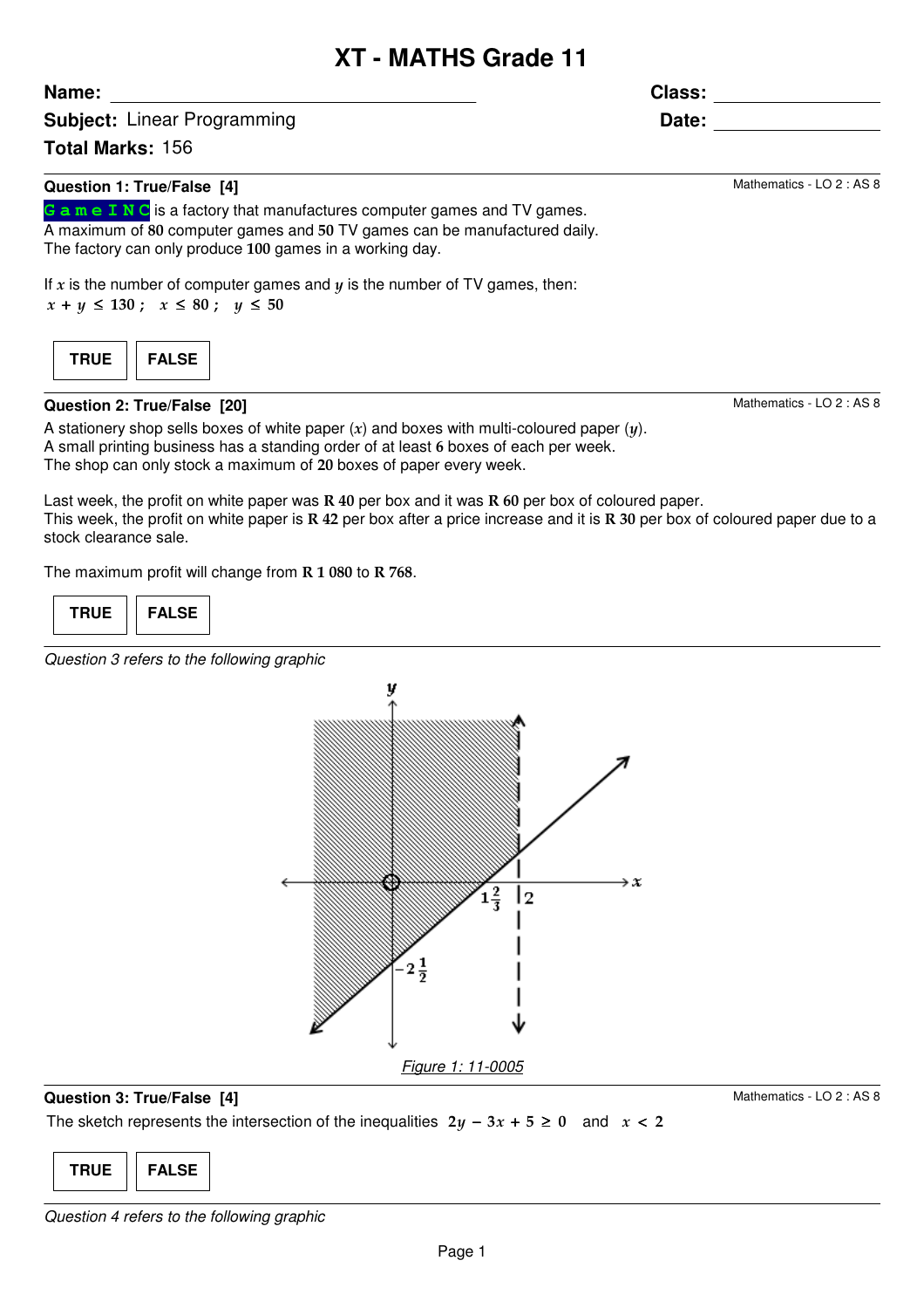# **XT - MATHS Grade 11**

**Subject:** Linear Programming

**Total Marks:** 156

**Name:**

### **Question 1: True/False [4]**

**G a m e I N C** is a factory that manufactures computer games and TV games. A maximum of 80 computer games and 50 TV games can be manufactured daily. The factory can only produce 100 games in a working day.

If  $x$  is the number of computer games and  $y$  is the number of TV games, then:  $x + y \le 130$ ;  $x \le 80$ ;  $y \le 50$ 

| I۲ | <b>FALS</b><br>т. |
|----|-------------------|
|    |                   |

### **Question 2: True/False [20]**

A stationery shop sells boxes of white paper  $(x)$  and boxes with multi-coloured paper  $(y)$ . A small printing business has a standing order of at least 6 boxes of each per week. The shop can only stock a maximum of 20 boxes of paper every week.

Last week, the profit on white paper was  $R$  40 per box and it was  $R$  60 per box of coloured paper. This week, the profit on white paper is  $R$  42 per box after a price increase and it is  $R$  30 per box of coloured paper due to a stock clearance sale.

The maximum profit will change from R 1 080 to R 768.

| TRUE. | <b>FALSE</b> |
|-------|--------------|
|-------|--------------|

Question 3 refers to the following graphic



### **Question 3: True/False [4]**

Mathematics - LO 2 : AS 8

The sketch represents the intersection of the inequalities  $2y - 3x + 5 \ge 0$  and  $x < 2$ 



**Class:**

**Date:**

Mathematics - LO 2 : AS 8

Mathematics - LO 2 : AS 8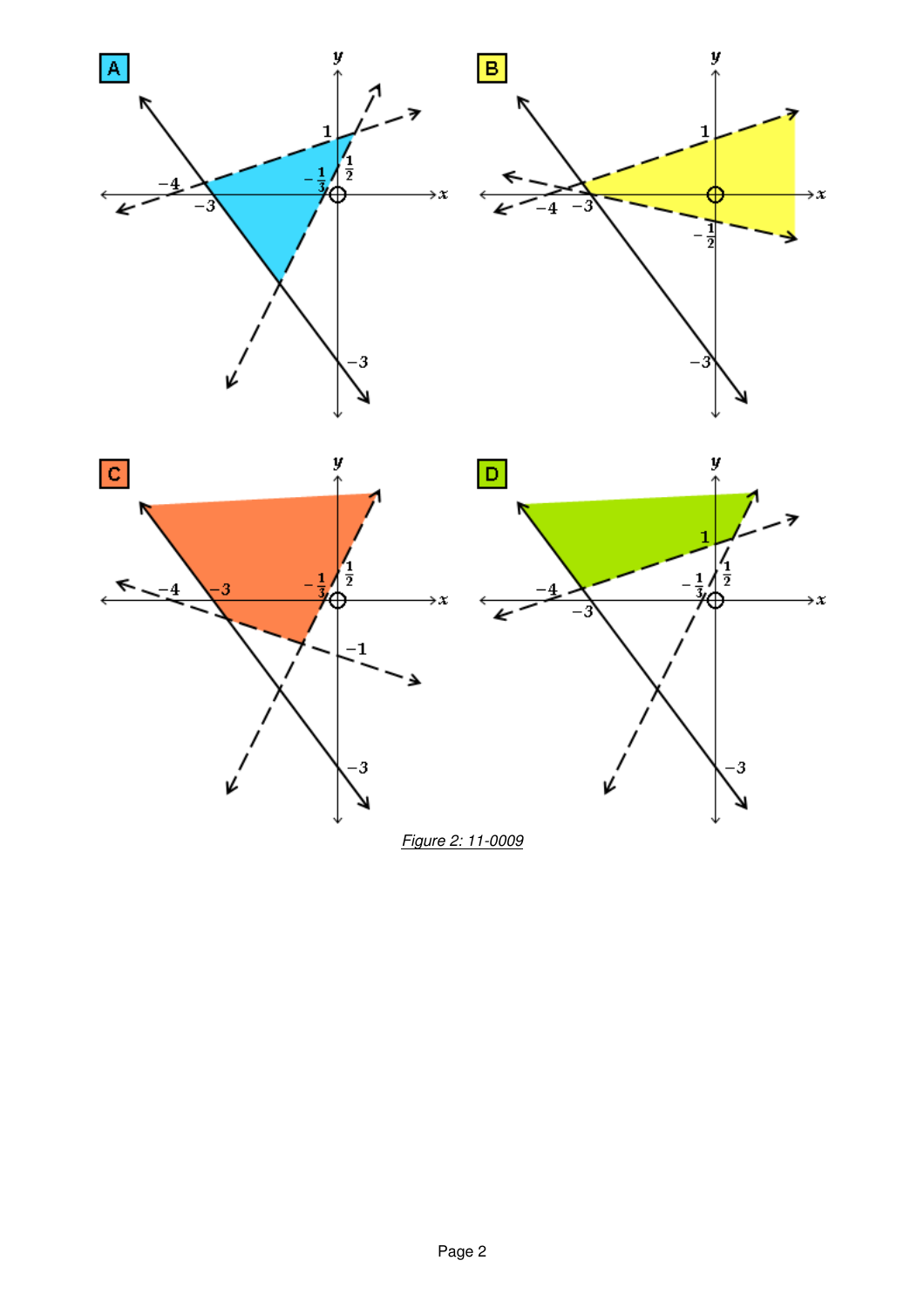



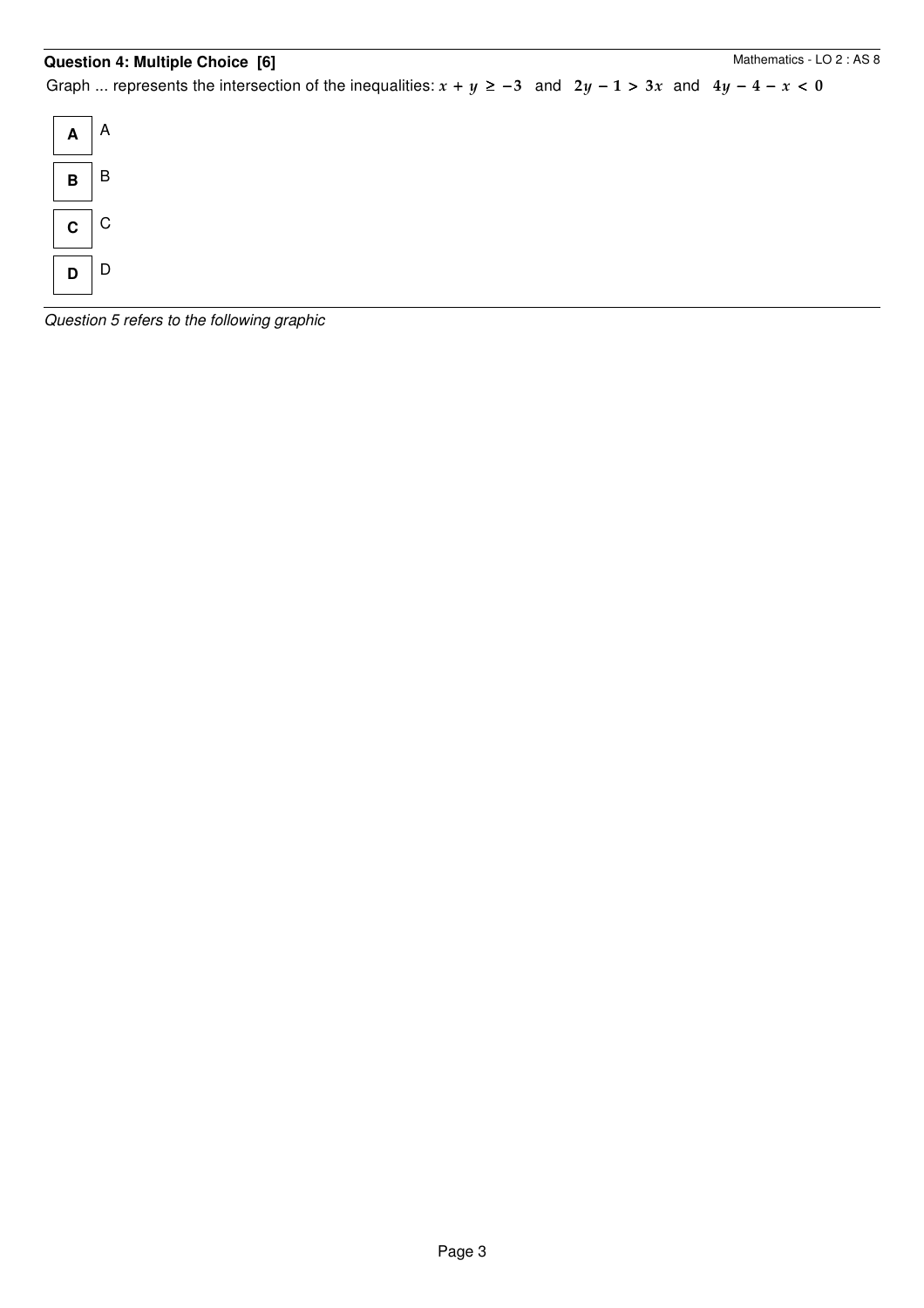### **Question 4: Multiple Choice [6]**

Graph ... represents the intersection of the inequalities:  $x + y \ge -3$  and  $2y - 1 > 3x$  and  $4y - 4 - x < 0$ 



Question 5 refers to the following graphic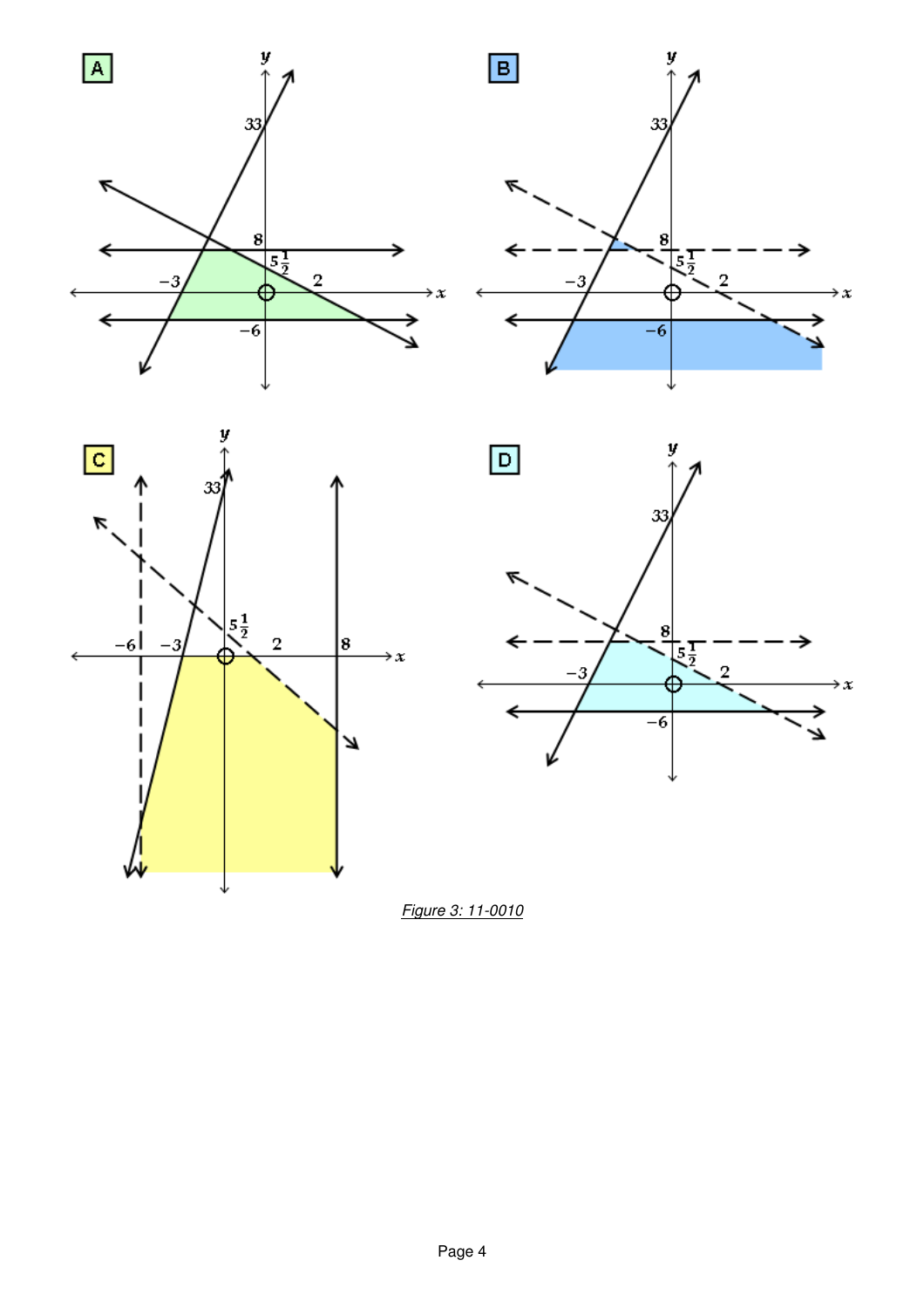







Figure 3: 11-0010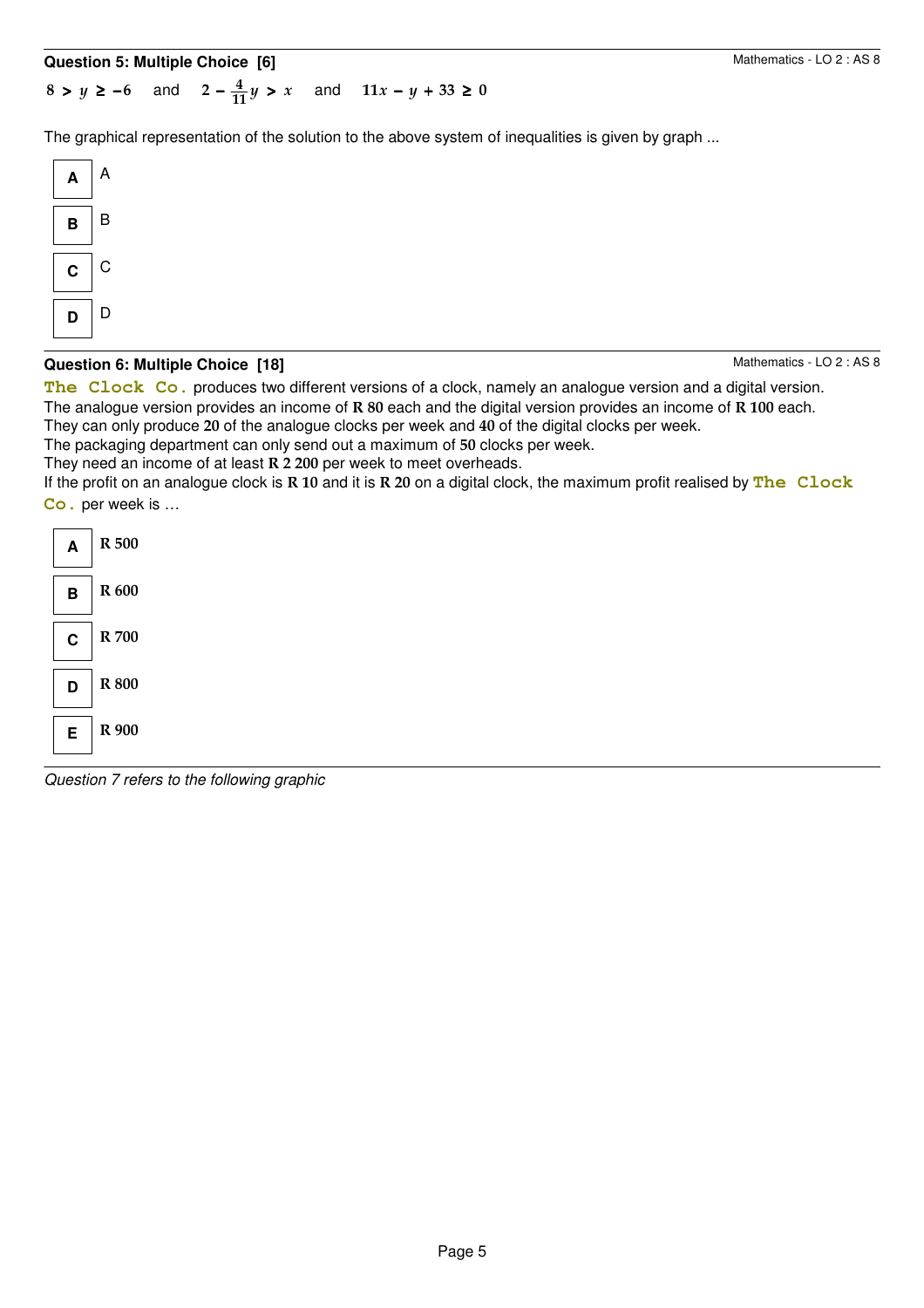## **Question 5: Multiple Choice [6]**

 $2 - \frac{4}{11}y > x$  $8 > y \ge -6$  and  $2 - \frac{4}{33}y > x$  and  $11x - y + 33 \ge 0$ 

The graphical representation of the solution to the above system of inequalities is given by graph ...



### **Question 6: Multiple Choice [18]**

Mathematics - LO 2 : AS 8

The Clock Co. produces two different versions of a clock, namely an analogue version and a digital version. The analogue version provides an income of R 80 each and the digital version provides an income of R 100 each.

They can only produce 20 of the analogue clocks per week and 40 of the digital clocks per week.

The packaging department can only send out a maximum of 50 clocks per week.

They need an income of at least R 2 200 per week to meet overheads.

If the profit on an analogue clock is R 10 and it is R 20 on a digital clock, the maximum profit realised by **The Clock Co.** per week is …



Question 7 refers to the following graphic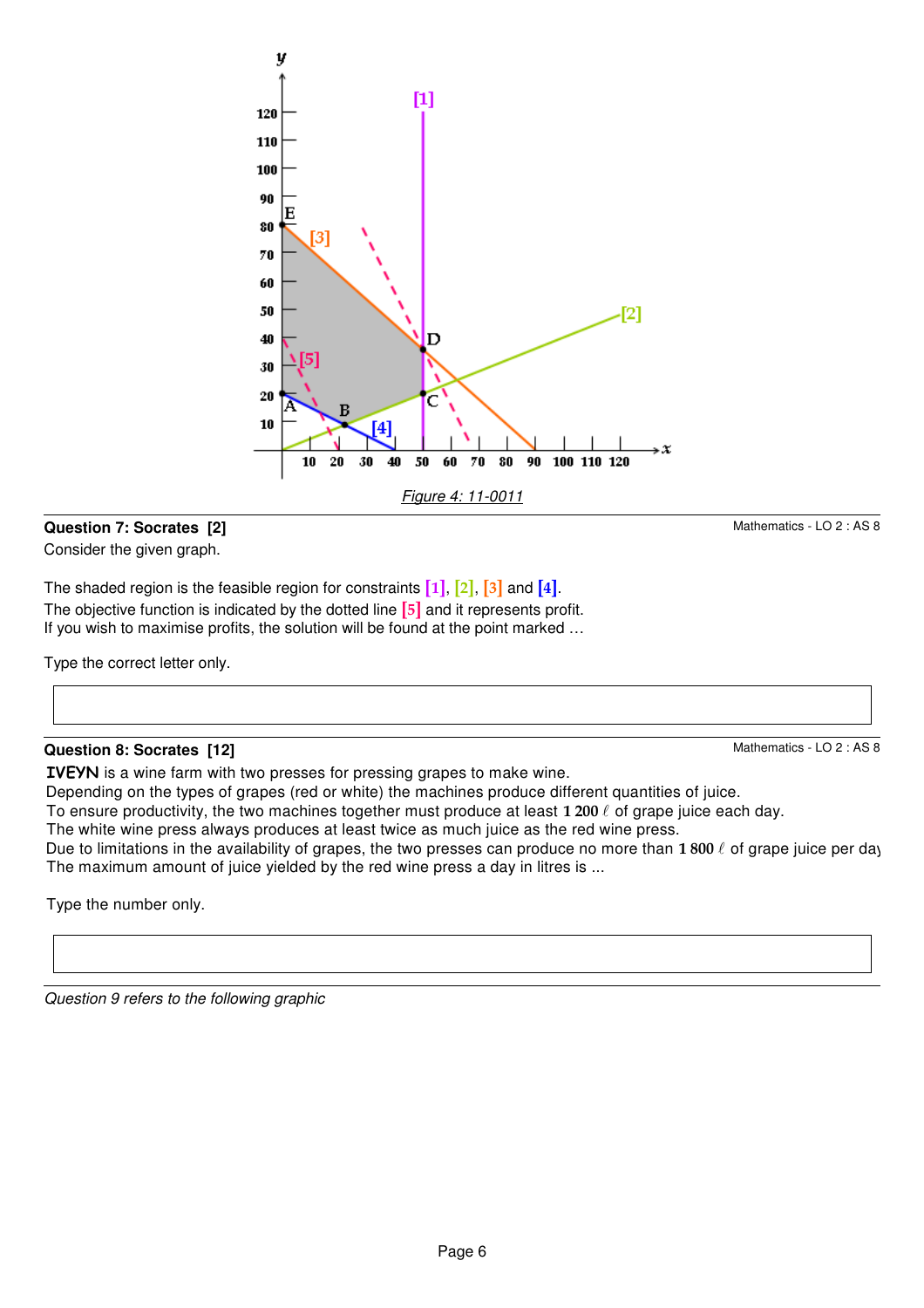

Figure 4: 11-0011

70 80 90

100 110 120

 $[1]$ 

n

Ċ

50 60

[4]

40

Question 9 refers to the following graphic

Consider the given graph.

The shaded region is the feasible region for constraints  $\begin{bmatrix} 1 \end{bmatrix}$ ,  $\begin{bmatrix} 2 \end{bmatrix}$ ,  $\begin{bmatrix} 3 \end{bmatrix}$  and  $\begin{bmatrix} 4 \end{bmatrix}$ . The objective function is indicated by the dotted line **[5]** and it represents profit. If you wish to maximise profits, the solution will be found at the point marked …

10 20 30

y

40

30 20

 $10$ 

Type the correct letter only.

**Question 8: Socrates [12]**

Type the number only.

### **Question 7: Socrates [2]**

Mathematics - LO 2 : AS 8

Mathematics - LO 2 : AS 8

 $\overline{2}$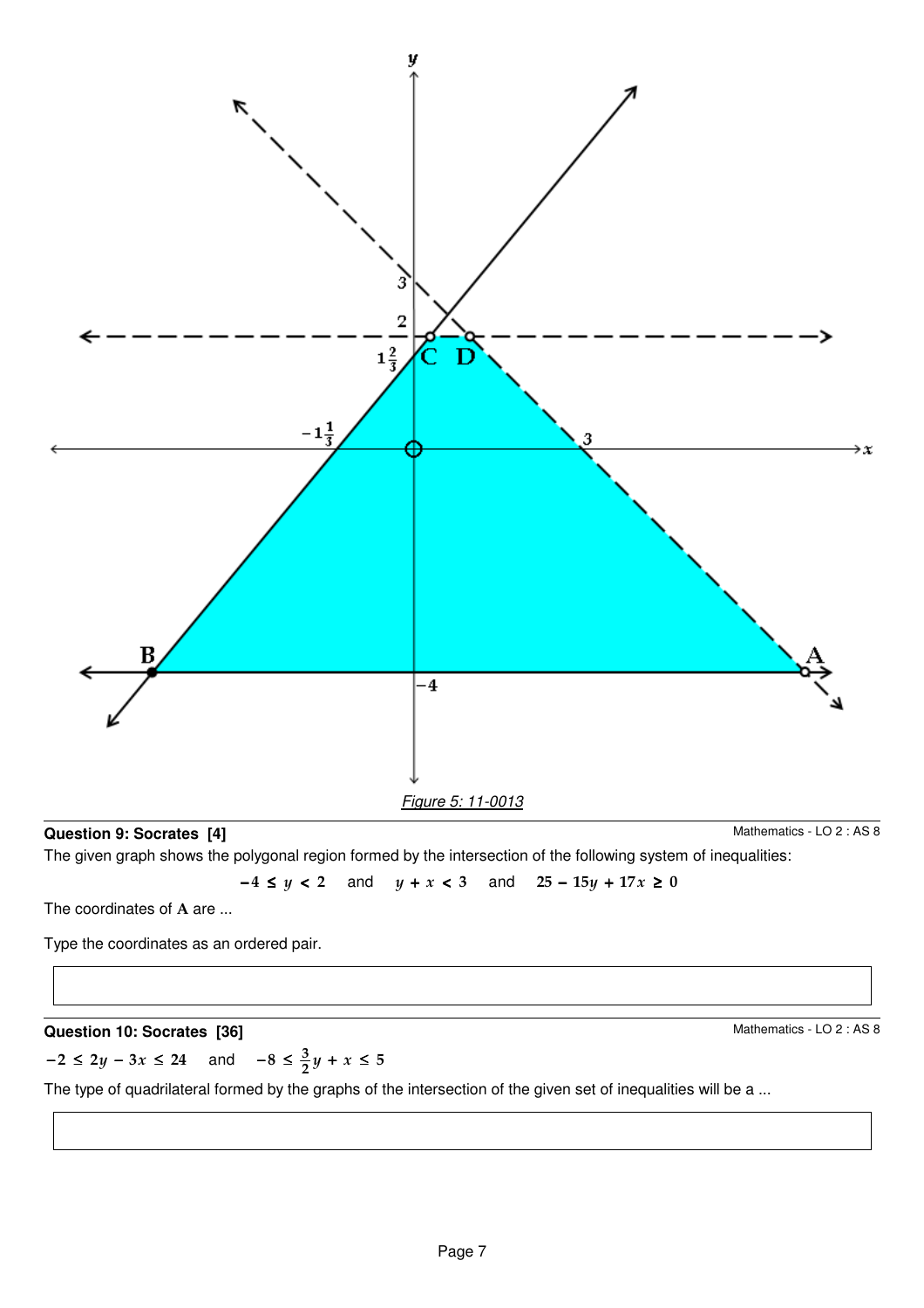

### **Question 9: Socrates [4]**

Mathematics - LO 2 : AS 8

The given graph shows the polygonal region formed by the intersection of the following system of inequalities:

 $-4 \le y < 2$  and  $y + x < 3$  and  $25 - 15y + 17x \ge 0$ 

The coordinates of A are ...

Type the coordinates as an ordered pair.

### **Question 10: Socrates [36]**

Mathematics - LO 2 : AS 8

$$
-2 \le 2y - 3x \le 24 \quad \text{and} \quad -8 \le \frac{3}{2}y + x \le 5
$$

The type of quadrilateral formed by the graphs of the intersection of the given set of inequalities will be a ...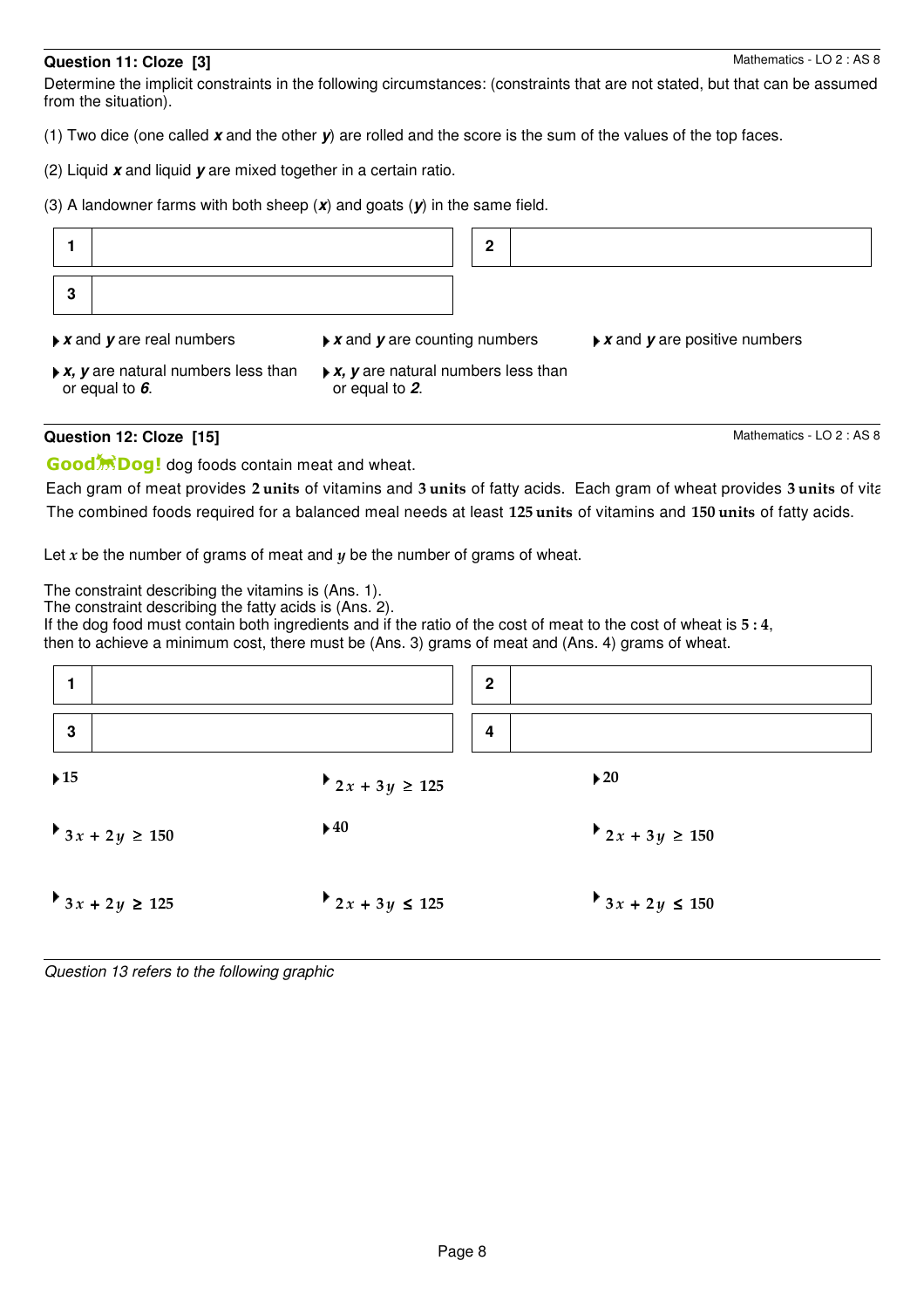### **Question 11: Cloze [3]**

Determine the implicit constraints in the following circumstances: (constraints that are not stated, but that can be assumed from the situation).

- (1) Two dice (one called **x** and the other **y**) are rolled and the score is the sum of the values of the top faces.
- (2) Liquid **x** and liquid **y** are mixed together in a certain ratio.

(3) A landowner farms with both sheep (**x**) and goats (**y**) in the same field.

|   | Question 12: Cloze [15]                                                                 |                                                                                      |              | Mathematics - LO 2 : AS 8                                   |
|---|-----------------------------------------------------------------------------------------|--------------------------------------------------------------------------------------|--------------|-------------------------------------------------------------|
|   | $\triangleright$ <b>x</b> , <b>y</b> are natural numbers less than<br>or equal to $6$ . | $\triangleright$ <b>x</b> , <b>y</b> are natural numbers less than<br>or equal to 2. |              |                                                             |
|   | $\triangleright$ <b>x</b> and <b>y</b> are real numbers                                 | $\triangleright$ <b>x</b> and <b>y</b> are counting numbers                          |              | $\triangleright$ <b>x</b> and <b>y</b> are positive numbers |
| 3 |                                                                                         |                                                                                      |              |                                                             |
|   |                                                                                         |                                                                                      | $\mathbf{2}$ |                                                             |

Good<sup>\*</sup><sub>Dog!</sub> dog foods contain meat and wheat.

Each gram of meat provides 2 units of vitamins and 3 units of fatty acids. Each gram of wheat provides 3 units of vita The combined foods required for a balanced meal needs at least 125 units of vitamins and 150 units of fatty acids.

Let x be the number of grams of meat and  $y$  be the number of grams of wheat.

The constraint describing the vitamins is (Ans. 1).

The constraint describing the fatty acids is (Ans. 2).

If the dog food must contain both ingredients and if the ratio of the cost of meat to the cost of wheat is  $5:4$ , then to achieve a minimum cost, there must be (Ans. 3) grams of meat and (Ans. 4) grams of wheat.

|                          |                            | $\mathbf{2}$            |                          |
|--------------------------|----------------------------|-------------------------|--------------------------|
| $\mathbf{3}$             |                            | $\overline{\mathbf{4}}$ |                          |
| $\blacktriangleright$ 15 | $2x + 3y \ge 125$          |                         | $\blacktriangleright$ 20 |
| $3x + 2y \ge 150$        | $\blacktriangleright$ 40   |                         | $2x + 3y \ge 150$        |
| $3x + 2y \ge 125$        | <b>2</b> x + 3y $\leq$ 125 |                         | $3x + 2y \le 150$        |

Question 13 refers to the following graphic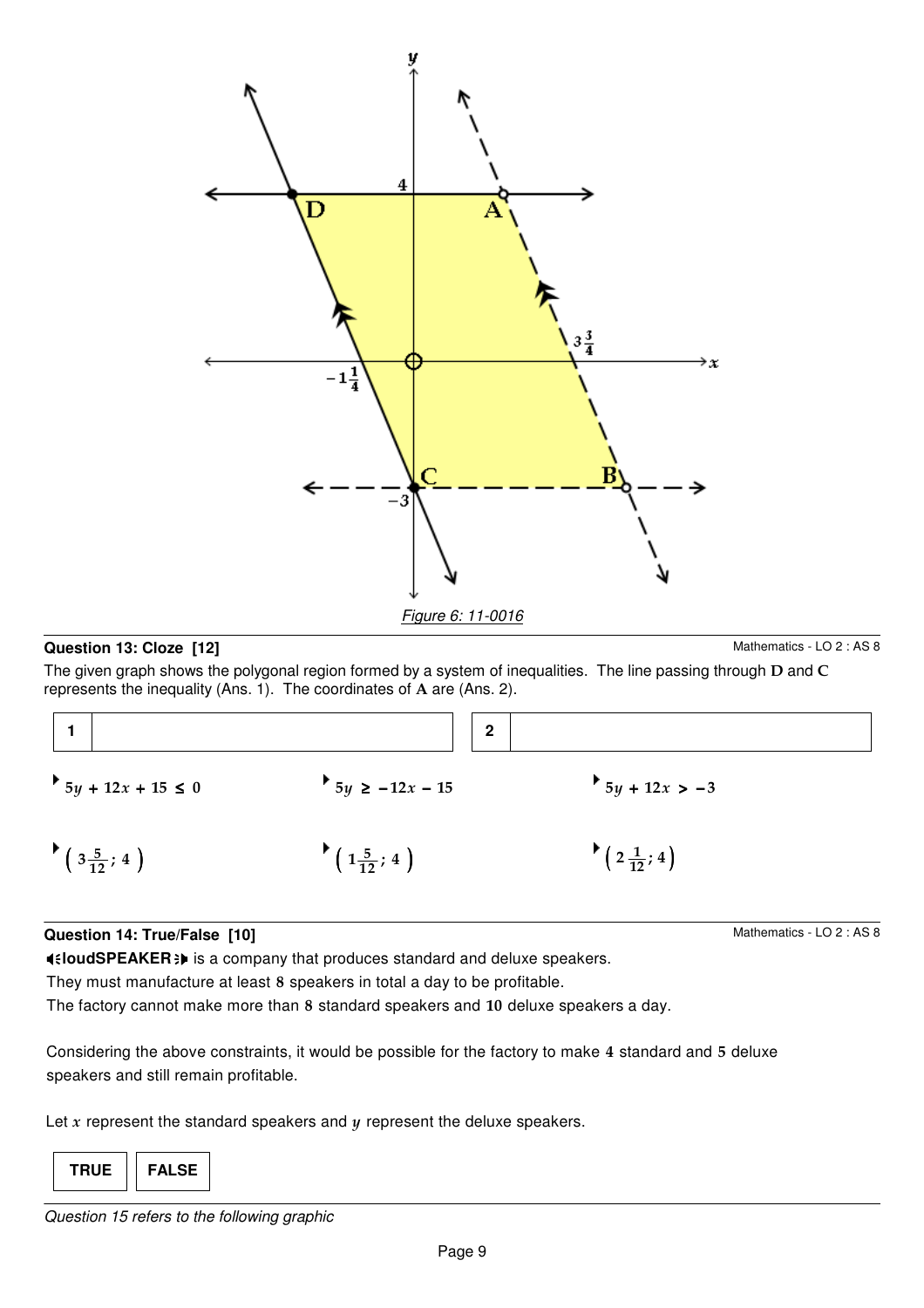

### **Question 13: Cloze [12]**

Mathematics - LO 2 : AS 8

The given graph shows the polygonal region formed by a system of inequalities. The line passing through D and C represents the inequality (Ans. 1). The coordinates of A are (Ans. 2).

|                       | $\mathbf{2}$         |                      |
|-----------------------|----------------------|----------------------|
| $5y + 12x + 15 \le 0$ | $5y \ge -12x - 15$   | $5y + 12x > -3$      |
| $*(3\frac{5}{12}; 4)$ | $(1\frac{5}{12}; 4)$ | $(2\frac{1}{12}; 4)$ |

### **Question 14: True/False [10]**

**4** EloudSPEAKER : is a company that produces standard and deluxe speakers.

They must manufacture at least 8 speakers in total a day to be profitable.

The factory cannot make more than 8 standard speakers and 10 deluxe speakers a day.

Considering the above constraints, it would be possible for the factory to make 4 standard and 5 deluxe speakers and still remain profitable.

Let  $x$  represent the standard speakers and  $y$  represent the deluxe speakers.

**TRUE FALSE**

Mathematics - LO 2 : AS 8